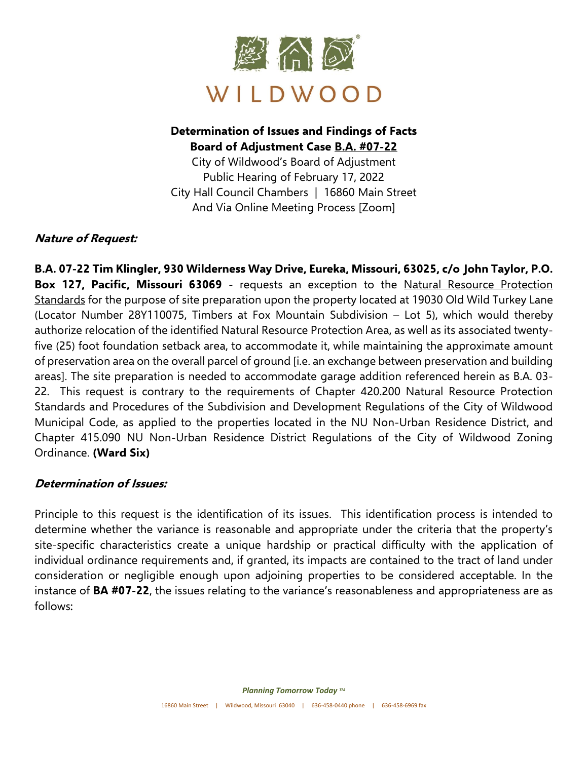

## **Determination of Issues and Findings of Facts Board of Adjustment Case B.A. #07-22**

City of Wildwood's Board of Adjustment Public Hearing of February 17, 2022 City Hall Council Chambers | 16860 Main Street And Via Online Meeting Process [Zoom]

### **Nature of Request:**

**B.A. 07-22 Tim Klingler, 930 Wilderness Way Drive, Eureka, Missouri, 63025, c/o John Taylor, P.O. Box 127, Pacific, Missouri 63069** - requests an exception to the Natural Resource Protection Standards for the purpose of site preparation upon the property located at 19030 Old Wild Turkey Lane (Locator Number 28Y110075, Timbers at Fox Mountain Subdivision – Lot 5), which would thereby authorize relocation of the identified Natural Resource Protection Area, as well as its associated twentyfive (25) foot foundation setback area, to accommodate it, while maintaining the approximate amount of preservation area on the overall parcel of ground [i.e. an exchange between preservation and building areas]. The site preparation is needed to accommodate garage addition referenced herein as B.A. 03- 22. This request is contrary to the requirements of Chapter 420.200 Natural Resource Protection Standards and Procedures of the Subdivision and Development Regulations of the City of Wildwood Municipal Code, as applied to the properties located in the NU Non-Urban Residence District, and Chapter 415.090 NU Non-Urban Residence District Regulations of the City of Wildwood Zoning Ordinance. **(Ward Six)**

### **Determination of Issues:**

Principle to this request is the identification of its issues. This identification process is intended to determine whether the variance is reasonable and appropriate under the criteria that the property's site-specific characteristics create a unique hardship or practical difficulty with the application of individual ordinance requirements and, if granted, its impacts are contained to the tract of land under consideration or negligible enough upon adjoining properties to be considered acceptable. In the instance of **BA #07-22**, the issues relating to the variance's reasonableness and appropriateness are as follows: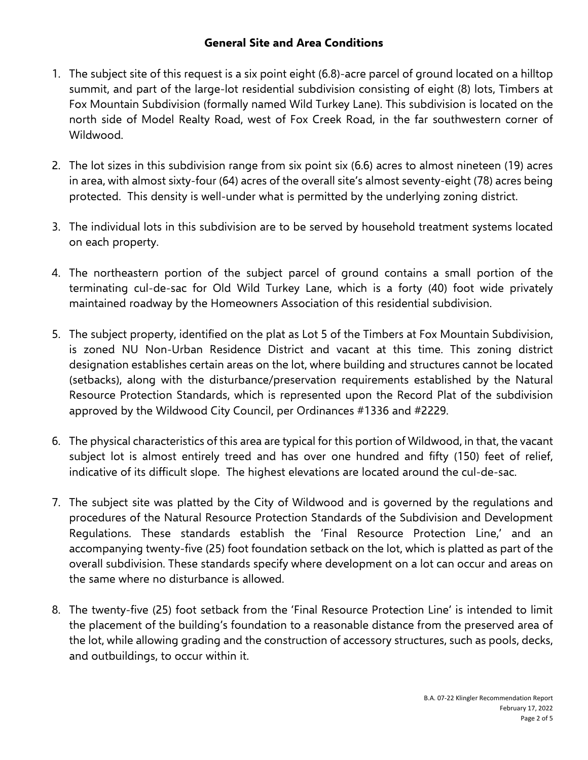### **General Site and Area Conditions**

- 1. The subject site of this request is a six point eight (6.8)-acre parcel of ground located on a hilltop summit, and part of the large-lot residential subdivision consisting of eight (8) lots, Timbers at Fox Mountain Subdivision (formally named Wild Turkey Lane). This subdivision is located on the north side of Model Realty Road, west of Fox Creek Road, in the far southwestern corner of Wildwood.
- 2. The lot sizes in this subdivision range from six point six (6.6) acres to almost nineteen (19) acres in area, with almost sixty-four (64) acres of the overall site's almost seventy-eight (78) acres being protected. This density is well-under what is permitted by the underlying zoning district.
- 3. The individual lots in this subdivision are to be served by household treatment systems located on each property.
- 4. The northeastern portion of the subject parcel of ground contains a small portion of the terminating cul-de-sac for Old Wild Turkey Lane, which is a forty (40) foot wide privately maintained roadway by the Homeowners Association of this residential subdivision.
- 5. The subject property, identified on the plat as Lot 5 of the Timbers at Fox Mountain Subdivision, is zoned NU Non-Urban Residence District and vacant at this time. This zoning district designation establishes certain areas on the lot, where building and structures cannot be located (setbacks), along with the disturbance/preservation requirements established by the Natural Resource Protection Standards, which is represented upon the Record Plat of the subdivision approved by the Wildwood City Council, per Ordinances #1336 and #2229.
- 6. The physical characteristics of this area are typical for this portion of Wildwood, in that, the vacant subject lot is almost entirely treed and has over one hundred and fifty (150) feet of relief, indicative of its difficult slope. The highest elevations are located around the cul-de-sac.
- 7. The subject site was platted by the City of Wildwood and is governed by the regulations and procedures of the Natural Resource Protection Standards of the Subdivision and Development Regulations. These standards establish the 'Final Resource Protection Line,' and an accompanying twenty-five (25) foot foundation setback on the lot, which is platted as part of the overall subdivision. These standards specify where development on a lot can occur and areas on the same where no disturbance is allowed.
- 8. The twenty-five (25) foot setback from the 'Final Resource Protection Line' is intended to limit the placement of the building's foundation to a reasonable distance from the preserved area of the lot, while allowing grading and the construction of accessory structures, such as pools, decks, and outbuildings, to occur within it.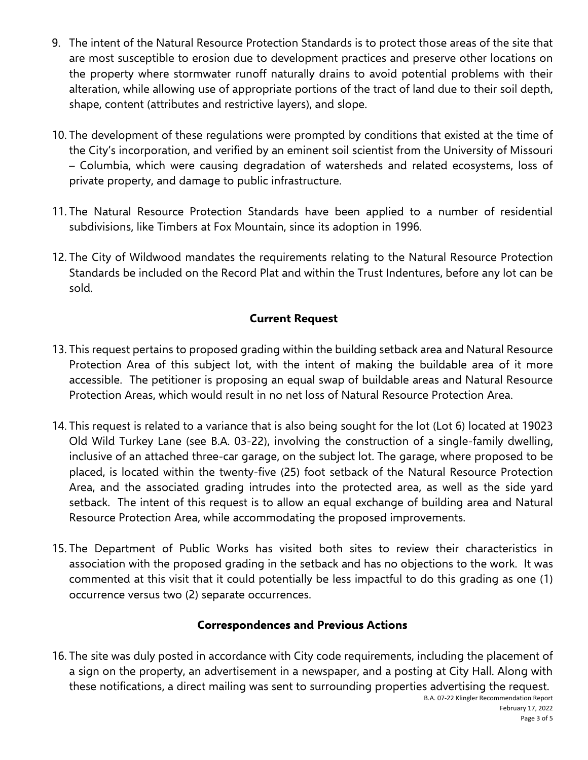- 9. The intent of the Natural Resource Protection Standards is to protect those areas of the site that are most susceptible to erosion due to development practices and preserve other locations on the property where stormwater runoff naturally drains to avoid potential problems with their alteration, while allowing use of appropriate portions of the tract of land due to their soil depth, shape, content (attributes and restrictive layers), and slope.
- 10. The development of these regulations were prompted by conditions that existed at the time of the City's incorporation, and verified by an eminent soil scientist from the University of Missouri – Columbia, which were causing degradation of watersheds and related ecosystems, loss of private property, and damage to public infrastructure.
- 11. The Natural Resource Protection Standards have been applied to a number of residential subdivisions, like Timbers at Fox Mountain, since its adoption in 1996.
- 12. The City of Wildwood mandates the requirements relating to the Natural Resource Protection Standards be included on the Record Plat and within the Trust Indentures, before any lot can be sold.

### **Current Request**

- 13. This request pertains to proposed grading within the building setback area and Natural Resource Protection Area of this subject lot, with the intent of making the buildable area of it more accessible. The petitioner is proposing an equal swap of buildable areas and Natural Resource Protection Areas, which would result in no net loss of Natural Resource Protection Area.
- 14. This request is related to a variance that is also being sought for the lot (Lot 6) located at 19023 Old Wild Turkey Lane (see B.A. 03-22), involving the construction of a single-family dwelling, inclusive of an attached three-car garage, on the subject lot. The garage, where proposed to be placed, is located within the twenty-five (25) foot setback of the Natural Resource Protection Area, and the associated grading intrudes into the protected area, as well as the side yard setback. The intent of this request is to allow an equal exchange of building area and Natural Resource Protection Area, while accommodating the proposed improvements.
- 15. The Department of Public Works has visited both sites to review their characteristics in association with the proposed grading in the setback and has no objections to the work. It was commented at this visit that it could potentially be less impactful to do this grading as one (1) occurrence versus two (2) separate occurrences.

### **Correspondences and Previous Actions**

16. The site was duly posted in accordance with City code requirements, including the placement of a sign on the property, an advertisement in a newspaper, and a posting at City Hall. Along with these notifications, a direct mailing was sent to surrounding properties advertising the request.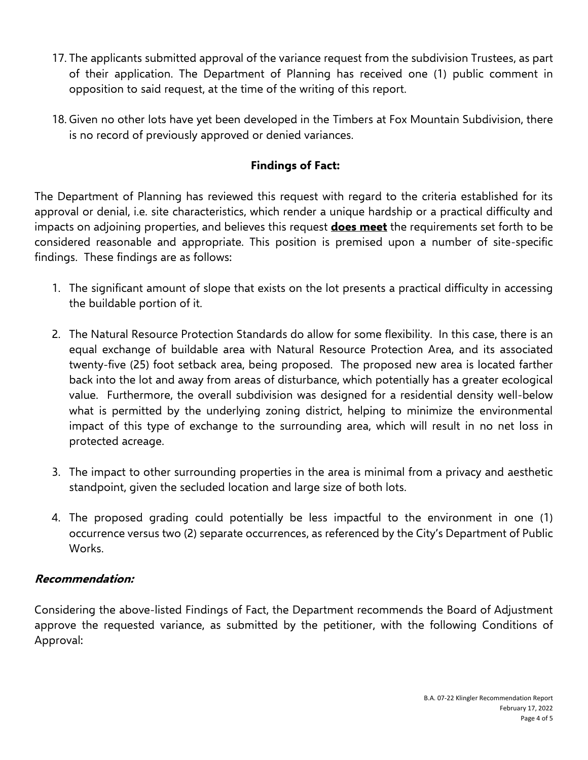- 17. The applicants submitted approval of the variance request from the subdivision Trustees, as part of their application. The Department of Planning has received one (1) public comment in opposition to said request, at the time of the writing of this report.
- 18. Given no other lots have yet been developed in the Timbers at Fox Mountain Subdivision, there is no record of previously approved or denied variances.

# **Findings of Fact:**

The Department of Planning has reviewed this request with regard to the criteria established for its approval or denial, i.e. site characteristics, which render a unique hardship or a practical difficulty and impacts on adjoining properties, and believes this request **does meet** the requirements set forth to be considered reasonable and appropriate. This position is premised upon a number of site-specific findings. These findings are as follows:

- 1. The significant amount of slope that exists on the lot presents a practical difficulty in accessing the buildable portion of it.
- 2. The Natural Resource Protection Standards do allow for some flexibility. In this case, there is an equal exchange of buildable area with Natural Resource Protection Area, and its associated twenty-five (25) foot setback area, being proposed. The proposed new area is located farther back into the lot and away from areas of disturbance, which potentially has a greater ecological value. Furthermore, the overall subdivision was designed for a residential density well-below what is permitted by the underlying zoning district, helping to minimize the environmental impact of this type of exchange to the surrounding area, which will result in no net loss in protected acreage.
- 3. The impact to other surrounding properties in the area is minimal from a privacy and aesthetic standpoint, given the secluded location and large size of both lots.
- 4. The proposed grading could potentially be less impactful to the environment in one (1) occurrence versus two (2) separate occurrences, as referenced by the City's Department of Public Works.

### **Recommendation:**

Considering the above-listed Findings of Fact, the Department recommends the Board of Adjustment approve the requested variance, as submitted by the petitioner, with the following Conditions of Approval: